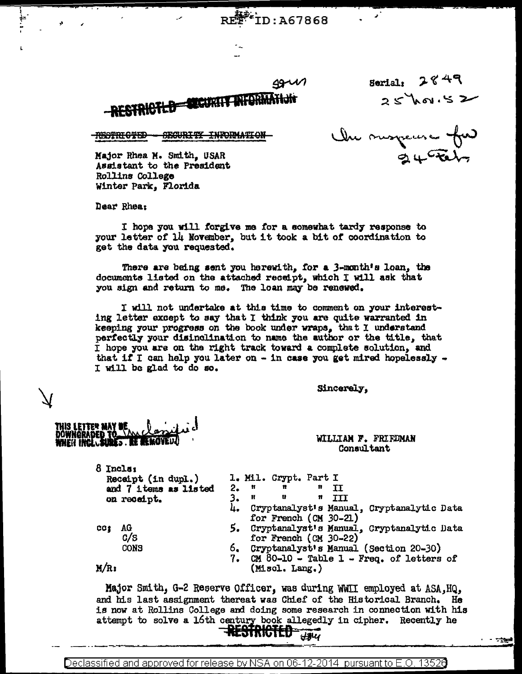$49111$ 

**ID:A67868** 



Serial:  $2849$  $25$  how.52

**RESTRICTED SECURITY INFORMATION** 

Une suspense for

Major Rhea M. Smith, USAR Assistant to the President Rollins College Winter Park, Florida

Dear Rhea:

I hope you will forgive me for a somewhat tardy response to your letter of 14 November, but it took a bit of coordination to get the data you requested.

There are being sent you herewith, for a 3-month's loan, the documents listed on the attached receipt, which I will ask that you sign and return to me. The loan may be renewed.

I will not undertake at this time to comment on your interesting letter except to say that I think you are quite warranted in keeping your progress on the book under wraps, that I understand perfectly your disinglination to name the author or the title, that I hope you are on the right track toward a complete solution, and that if I can help you later on - in case you get mired hopelessly -I will be glad to do so.

Sincerely,

WILLIAM F. FRIEDMAN Consultant

| ö Incla:<br>Receipt (in dupl.)<br>and 7 items as listed<br>on receipt. |             | 2. | - 11<br>н | 1. Mil. Crypt. Part I<br>$\mathbf{r}$<br><b>u</b> | Ħ<br>n | T<br>TTT |                                               |  |
|------------------------------------------------------------------------|-------------|----|-----------|---------------------------------------------------|--------|----------|-----------------------------------------------|--|
|                                                                        |             |    |           | for French (CM 30-21)                             |        |          | 4. Cryptanalyst's Manual, Cryptanalytic Data  |  |
| CC:                                                                    | AG<br>c/s   |    |           | for French (CM 30-22)                             |        |          | 5. Cryptanalyst's Manual, Cryptanalytic Data  |  |
|                                                                        | <b>CONS</b> |    |           |                                                   |        |          | 6. Cryptanalyst's Manual (Section 20-30)      |  |
| M/R                                                                    |             |    |           | (Misol. Lang.)                                    |        |          | 7. $CM$ 80-10 - Table 1 - Freq. of letters of |  |

Major Smith, G-2 Reserve Officer, was during WWII employed at ASA, HQ, and his last assignment thereat was Chief of the Historical Branch. He is now at Rollins College and doing some research in connection with his attempt to solve a 16th century book allegedly in cipher. Recently he

- 7144